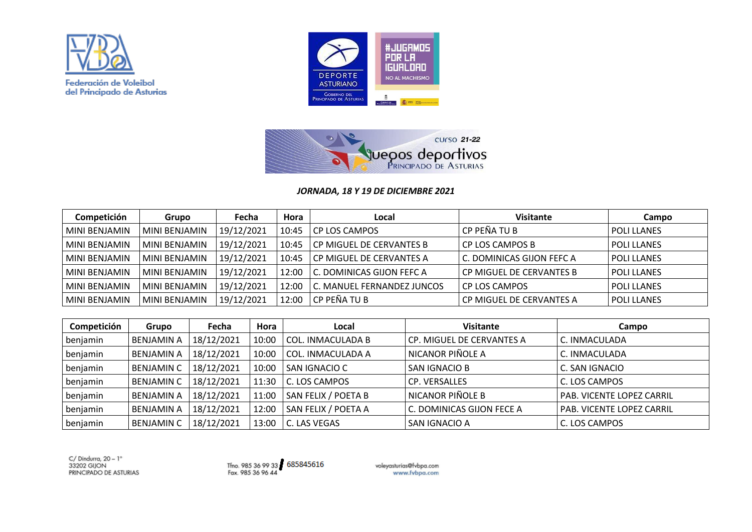





## *JORNADA, 18 Y 19 DE DICIEMBRE 2021*

| Competición     | Grupo           | Fecha      | Hora  | Local                      | <b>Visitante</b>          | Campo              |
|-----------------|-----------------|------------|-------|----------------------------|---------------------------|--------------------|
| MINI BENJAMIN   | MINI BENJAMIN   | 19/12/2021 | 10:45 | CP LOS CAMPOS              | CP PEÑA TU B              | l POLI LLANES      |
| MINI BENJAMIN   | MINI BENJAMIN   | 19/12/2021 | 10:45 | CP MIGUEL DE CERVANTES B   | CP LOS CAMPOS B           | POLI LLANES        |
| l MINI BENJAMIN | l MINI BENJAMIN | 19/12/2021 | 10:45 | CP MIGUEL DE CERVANTES A   | C. DOMINICAS GIJON FEFC A | <b>POLI LLANES</b> |
| l MINI BENJAMIN | l MINI BENJAMIN | 19/12/2021 | 12:00 | C. DOMINICAS GIJON FEFC A  | CP MIGUEL DE CERVANTES B  | <b>POLI LLANES</b> |
| MINI BENJAMIN   | MINI BENJAMIN   | 19/12/2021 | 12:00 | C. MANUEL FERNANDEZ JUNCOS | l CP LOS CAMPOS           | l POLI LLANES      |
| l MINI BENJAMIN | MINI BENJAMIN   | 19/12/2021 | 12:00 | l CP PEÑA TU B             | CP MIGUEL DE CERVANTES A  | <b>POLI LLANES</b> |

| Competición | Grupo             | Fecha      | Hora  | Local               | <b>Visitante</b>          | Campo                            |
|-------------|-------------------|------------|-------|---------------------|---------------------------|----------------------------------|
| benjamin    | <b>BENJAMIN A</b> | 18/12/2021 | 10:00 | l COL. INMACULADA B | CP. MIGUEL DE CERVANTES A | C. INMACULADA                    |
| benjamin    | <b>BENJAMIN A</b> | 18/12/2021 | 10:00 | COL. INMACULADA A   | NICANOR PIÑOLE A          | C. INMACULADA                    |
| benjamin    | <b>BENJAMIN C</b> | 18/12/2021 | 10:00 | SAN IGNACIO C       | SAN IGNACIO B             | C. SAN IGNACIO                   |
| benjamin    | <b>BENJAMIN C</b> | 18/12/2021 | 11:30 | C. LOS CAMPOS       | <b>CP. VERSALLES</b>      | C. LOS CAMPOS                    |
| benjamin    | <b>BENJAMIN A</b> | 18/12/2021 | 11:00 | SAN FELIX / POETA B | NICANOR PIÑOLE B          | <b>PAB. VICENTE LOPEZ CARRIL</b> |
| benjamin    | <b>BENJAMIN A</b> | 18/12/2021 | 12:00 | SAN FELIX / POETA A | C. DOMINICAS GIJON FECE A | PAB. VICENTE LOPEZ CARRIL        |
| benjamin    | <b>BENJAMIN C</b> | 18/12/2021 | 13:00 | C. LAS VEGAS        | SAN IGNACIO A             | C. LOS CAMPOS                    |

 $C/$  Dindurra, 20 - 1° 33202 GUON PRINCIPADO DE ASTURIAS

Tfno. 985 36 99 33 685845616<br>Fax. 985 36 96 44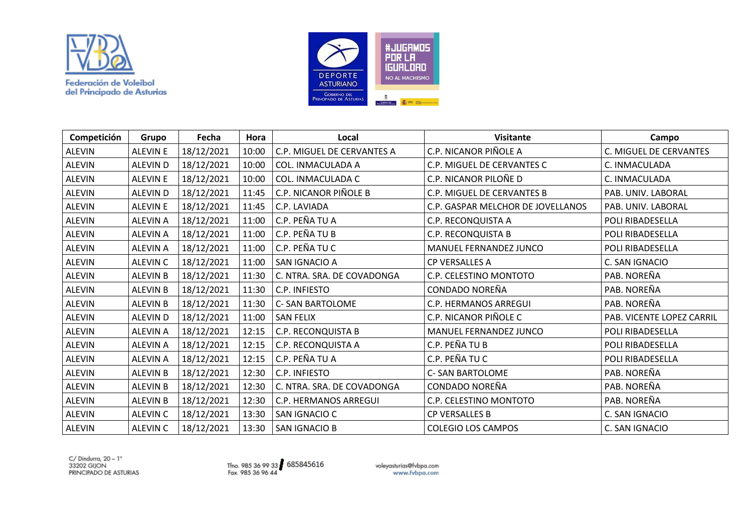



| Competición   | Grupo           | Fecha      | Hora  | Local                        | <b>Visitante</b>                  | Campo                     |
|---------------|-----------------|------------|-------|------------------------------|-----------------------------------|---------------------------|
| <b>ALEVIN</b> | <b>ALEVIN E</b> | 18/12/2021 | 10:00 | C.P. MIGUEL DE CERVANTES A   | C.P. NICANOR PIÑOLE A             | C. MIGUEL DE CERVANTES    |
| <b>ALEVIN</b> | <b>ALEVIN D</b> | 18/12/2021 | 10:00 | COL. INMACULADA A            | C.P. MIGUEL DE CERVANTES C        | C. INMACULADA             |
| <b>ALEVIN</b> | <b>ALEVIN E</b> | 18/12/2021 | 10:00 | COL. INMACULADA C            | C.P. NICANOR PILOÑE D             | C. INMACULADA             |
| <b>ALEVIN</b> | <b>ALEVIN D</b> | 18/12/2021 | 11:45 | C.P. NICANOR PIÑOLE B        | C.P. MIGUEL DE CERVANTES B        | PAB. UNIV. LABORAL        |
| <b>ALEVIN</b> | <b>ALEVIN E</b> | 18/12/2021 | 11:45 | C.P. LAVIADA                 | C.P. GASPAR MELCHOR DE JOVELLANOS | PAB. UNIV. LABORAL        |
| <b>ALEVIN</b> | <b>ALEVIN A</b> | 18/12/2021 | 11:00 | C.P. PEÑA TU A               | C.P. RECONQUISTA A                | POLI RIBADESELLA          |
| <b>ALEVIN</b> | <b>ALEVIN A</b> | 18/12/2021 | 11:00 | C.P. PEÑA TU B               | C.P. RECONQUISTA B                | POLI RIBADESELLA          |
| ALEVIN        | <b>ALEVIN A</b> | 18/12/2021 | 11:00 | C.P. PEÑA TU C               | MANUEL FERNANDEZ JUNCO            | POLI RIBADESELLA          |
| <b>ALEVIN</b> | <b>ALEVIN C</b> | 18/12/2021 | 11:00 | SAN IGNACIO A                | CP VERSALLES A                    | C. SAN IGNACIO            |
| <b>ALEVIN</b> | <b>ALEVIN B</b> | 18/12/2021 | 11:30 | C. NTRA. SRA. DE COVADONGA   | C.P. CELESTINO MONTOTO            | PAB. NOREÑA               |
| <b>ALEVIN</b> | <b>ALEVIN B</b> | 18/12/2021 | 11:30 | C.P. INFIESTO                | CONDADO NOREÑA                    | PAB. NOREÑA               |
| <b>ALEVIN</b> | <b>ALEVIN B</b> | 18/12/2021 | 11:30 | <b>C- SAN BARTOLOME</b>      | C.P. HERMANOS ARREGUI             | PAB. NOREÑA               |
| ALEVIN        | <b>ALEVIND</b>  | 18/12/2021 | 11:00 | <b>SAN FELIX</b>             | C.P. NICANOR PIÑOLE C             | PAB. VICENTE LOPEZ CARRIL |
| ALEVIN        | <b>ALEVIN A</b> | 18/12/2021 | 12:15 | C.P. RECONQUISTA B           | MANUEL FERNANDEZ JUNCO            | POLI RIBADESELLA          |
| <b>ALEVIN</b> | <b>ALEVIN A</b> | 18/12/2021 | 12:15 | C.P. RECONQUISTA A           | C.P. PEÑA TU B                    | POLI RIBADESELLA          |
| <b>ALEVIN</b> | <b>ALEVIN A</b> | 18/12/2021 | 12:15 | C.P. PEÑA TU A               | C.P. PEÑA TU C                    | POLI RIBADESELLA          |
| <b>ALEVIN</b> | <b>ALEVIN B</b> | 18/12/2021 | 12:30 | C.P. INFIESTO                | <b>C- SAN BARTOLOME</b>           | PAB. NOREÑA               |
| ALEVIN        | <b>ALEVIN B</b> | 18/12/2021 | 12:30 | C. NTRA. SRA. DE COVADONGA   | CONDADO NOREÑA                    | PAB. NOREÑA               |
| <b>ALEVIN</b> | <b>ALEVIN B</b> | 18/12/2021 | 12:30 | <b>C.P. HERMANOS ARREGUI</b> | C.P. CELESTINO MONTOTO            | PAB. NOREÑA               |
| <b>ALEVIN</b> | <b>ALEVIN C</b> | 18/12/2021 | 13:30 | SAN IGNACIO C                | CP VERSALLES B                    | C. SAN IGNACIO            |
| <b>ALEVIN</b> | ALEVIN C        | 18/12/2021 | 13:30 | <b>SAN IGNACIO B</b>         | <b>COLEGIO LOS CAMPOS</b>         | C. SAN IGNACIO            |

 $C/$  Dindurra, 20 - 1° C/ Dinding, 20 - 1<br>33202 GIJON<br>PRINCIPADO DE ASTURIAS

Tfno. 985 36 99 33 685845616<br>Fax. 985 36 96 44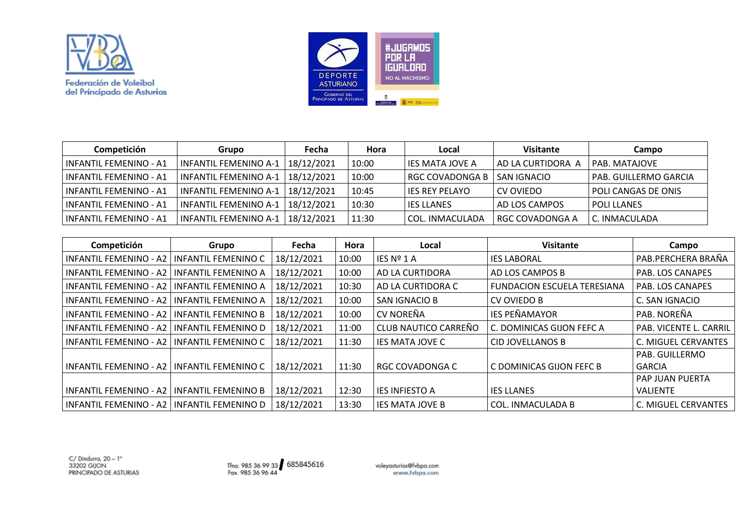



| Competición                   | Grupo                              | Fecha      | Hora  | Local             | <b>Visitante</b>  | Campo                      |
|-------------------------------|------------------------------------|------------|-------|-------------------|-------------------|----------------------------|
| ' INFANTIL FEMENINO - A1      | INFANTIL FEMENINO A-1              | 18/12/2021 | 10:00 | l IES MATA JOVE A | AD LA CURTIDORA A | l PAB. MATAJOVE            |
| INFANTIL FEMENINO - A1        | INFANTIL FEMENINO A-1   18/12/2021 |            | 10:00 | I RGC COVADONGA B | SAN IGNACIO       | l PAB. GUILLERMO GARCIA    |
| I INFANTIL FEMENINO - A1      | INFANTIL FEMENINO A-1   18/12/2021 |            | 10:45 | l IES REY PELAYO  | I CV OVIEDO       | <b>POLI CANGAS DE ONIS</b> |
| <b>INFANTIL FEMENINO - A1</b> | INFANTIL FEMENINO A-1              | 18/12/2021 | 10:30 | l IES LLANES      | AD LOS CAMPOS     | l POLI LLANES              |
| <b>INFANTIL FEMENINO - A1</b> | INFANTIL FEMENINO A-1              | 18/12/2021 | 11:30 | l COL. INMACULADA | l RGC COVADONGA A | l C. INMACULADA            |

| Competición                   | Grupo                      | Fecha      | <b>Hora</b> | Local                  | <b>Visitante</b>                   | Campo                         |
|-------------------------------|----------------------------|------------|-------------|------------------------|------------------------------------|-------------------------------|
| <b>INFANTIL FEMENINO - A2</b> | INFANTIL FEMENINO C        | 18/12/2021 | 10:00       | IES Nº 1 A             | <b>IES LABORAL</b>                 | PAB.PERCHERA BRAÑA            |
| <b>INFANTIL FEMENINO - A2</b> | INFANTIL FEMENINO A        | 18/12/2021 | 10:00       | AD LA CURTIDORA        | AD LOS CAMPOS B                    | PAB. LOS CANAPES              |
| <b>INFANTIL FEMENINO - A2</b> | <b>INFANTIL FEMENINO A</b> | 18/12/2021 | 10:30       | AD LA CURTIDORA C      | <b>FUNDACION ESCUELA TERESIANA</b> | PAB. LOS CANAPES              |
| INFANTIL FEMENINO - A2        | INFANTIL FEMENINO A        | 18/12/2021 | 10:00       | SAN IGNACIO B          | CV OVIEDO B                        | C. SAN IGNACIO                |
| INFANTIL FEMENINO - A2        | INFANTIL FEMENINO B        | 18/12/2021 | 10:00       | CV NOREÑA              | <b>IES PEÑAMAYOR</b>               | PAB. NOREÑA                   |
| INFANTIL FEMENINO - A2        | INFANTIL FEMENINO D        | 18/12/2021 | 11:00       | CLUB NAUTICO CARREÑO   | C. DOMINICAS GIJON FEFC A          | <b>PAB. VICENTE L. CARRIL</b> |
| INFANTIL FEMENINO - A2        | INFANTIL FEMENINO C        | 18/12/2021 | 11:30       | <b>IES MATA JOVE C</b> | CID JOVELLANOS B                   | C. MIGUEL CERVANTES           |
|                               |                            |            |             |                        |                                    | <b>PAB. GUILLERMO</b>         |
| INFANTIL FEMENINO - A2        | INFANTIL FEMENINO C        | 18/12/2021 | 11:30       | <b>RGC COVADONGA C</b> | C DOMINICAS GIJON FEFC B           | <b>GARCIA</b>                 |
|                               |                            |            |             |                        |                                    | <b>PAP JUAN PUERTA</b>        |
| INFANTIL FEMENINO - A2        | <b>INFANTIL FEMENINO B</b> | 18/12/2021 | 12:30       | <b>IES INFIESTO A</b>  | <b>IES LLANES</b>                  | VALIENTE                      |
| <b>INFANTIL FEMENINO - A2</b> | <b>INFANTIL FEMENINO D</b> | 18/12/2021 | 13:30       | <b>IES MATA JOVE B</b> | <b>COL. INMACULADA B</b>           | C. MIGUEL CERVANTES           |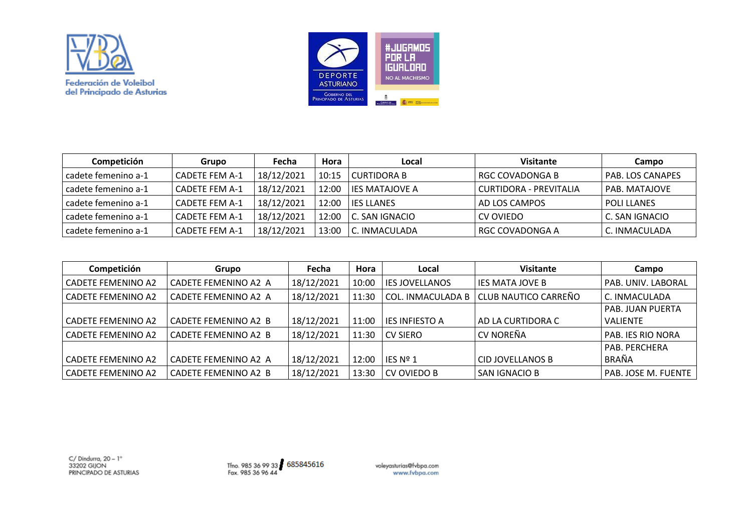



| Competición           | Grupo                 | Fecha      | Hora  | Local                  | <b>Visitante</b>       | Campo                |
|-----------------------|-----------------------|------------|-------|------------------------|------------------------|----------------------|
| l cadete femenino a-1 | <b>CADETE FEM A-1</b> | 18/12/2021 | 10:15 | l CURTIDORA B          | I RGC COVADONGA B      | PAB. LOS CANAPES     |
| l cadete femenino a-1 | l CADETE FEM A-1      | 18/12/2021 | 12:00 | <b>LIES MATAJOVE A</b> | CURTIDORA - PREVITALIA | <b>PAB. MATAJOVE</b> |
| l cadete femenino a-1 | <b>CADETE FEM A-1</b> | 18/12/2021 | 12:00 | <b>LIES LLANES</b>     | AD LOS CAMPOS          | <b>POLI LLANES</b>   |
| cadete femenino a-1   | <b>CADETE FEM A-1</b> | 18/12/2021 | 12:00 | C. SAN IGNACIO         | CV OVIEDO              | C. SAN IGNACIO       |
| l cadete femenino a-1 | <b>CADETE FEM A-1</b> | 18/12/2021 | 13:00 | l C. INMACULADA        | I RGC COVADONGA A      | C. INMACULADA        |

| Competición               | Grupo                       | Fecha      | Hora  | Local                    | <b>Visitante</b>        | Campo                    |
|---------------------------|-----------------------------|------------|-------|--------------------------|-------------------------|--------------------------|
| <b>CADETE FEMENINO A2</b> | CADETE FEMENINO A2 A        | 18/12/2021 | 10:00 | <b>IES JOVELLANOS</b>    | <b>IES MATA JOVE B</b>  | PAB. UNIV. LABORAL       |
| <b>CADETE FEMENINO A2</b> | CADETE FEMENINO A2 A        | 18/12/2021 | 11:30 | <b>COL. INMACULADA B</b> | CLUB NAUTICO CARREÑO    | C. INMACULADA            |
|                           |                             |            |       |                          |                         | <b>PAB. JUAN PUERTA</b>  |
| <b>CADETE FEMENINO A2</b> | <b>CADETE FEMENINO A2 B</b> | 18/12/2021 | 11:00 | <b>IES INFIESTO A</b>    | AD LA CURTIDORA C       | <b>VALIENTE</b>          |
| <b>CADETE FEMENINO A2</b> | CADETE FEMENINO A2 B        | 18/12/2021 | 11:30 | <b>CV SIERO</b>          | <b>CV NOREÑA</b>        | <b>PAB. IES RIO NORA</b> |
|                           |                             |            |       |                          |                         | PAB. PERCHERA            |
| <b>CADETE FEMENINO A2</b> | CADETE FEMENINO A2 A        | 18/12/2021 | 12:00 | IES Nº 1                 | <b>CID JOVELLANOS B</b> | BRAÑA                    |
| <b>CADETE FEMENINO A2</b> | CADETE FEMENINO A2 B        | 18/12/2021 | 13:30 | CV OVIEDO B              | SAN IGNACIO B           | PAB. JOSE M. FUENTE      |